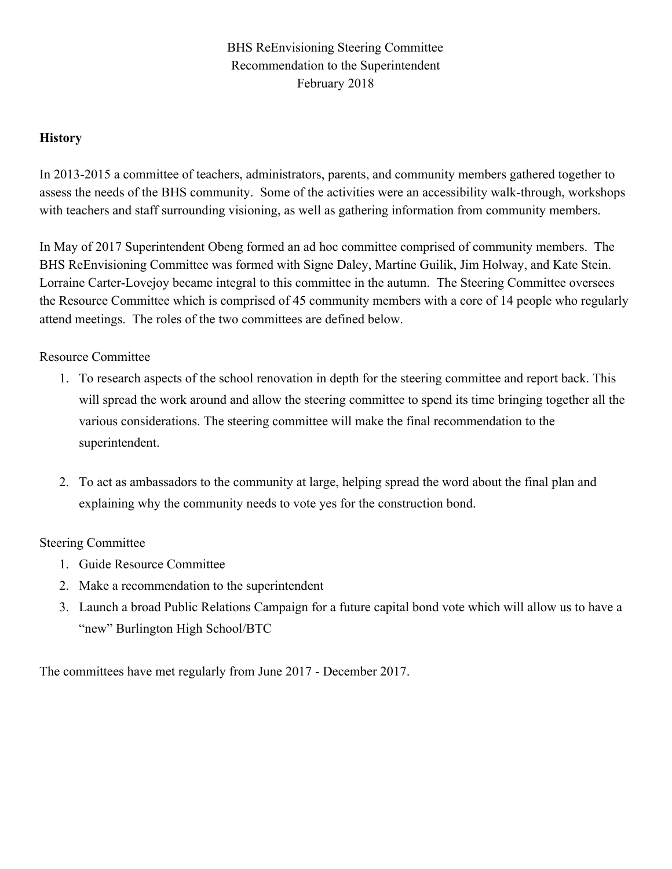# BHS ReEnvisioning Steering Committee Recommendation to the Superintendent February 2018

# **History**

In 2013-2015 a committee of teachers, administrators, parents, and community members gathered together to assess the needs of the BHS community. Some of the activities were an accessibility walk-through, workshops with teachers and staff surrounding visioning, as well as gathering information from community members.

In May of 2017 Superintendent Obeng formed an ad hoc committee comprised of community members. The BHS ReEnvisioning Committee was formed with Signe Daley, Martine Guilik, Jim Holway, and Kate Stein. Lorraine Carter-Lovejoy became integral to this committee in the autumn. The Steering Committee oversees the Resource Committee which is comprised of 45 community members with a core of 14 people who regularly attend meetings. The roles of the two committees are defined below.

# Resource Committee

- 1. To research aspects of the school renovation in depth for the steering committee and report back. This will spread the work around and allow the steering committee to spend its time bringing together all the various considerations. The steering committee will make the final recommendation to the superintendent.
- 2. To act as ambassadors to the community at large, helping spread the word about the final plan and explaining why the community needs to vote yes for the construction bond.

#### Steering Committee

- 1. Guide Resource Committee
- 2. Make a recommendation to the superintendent
- 3. Launch a broad Public Relations Campaign for a future capital bond vote which will allow us to have a "new" Burlington High School/BTC

The committees have met regularly from June 2017 - December 2017.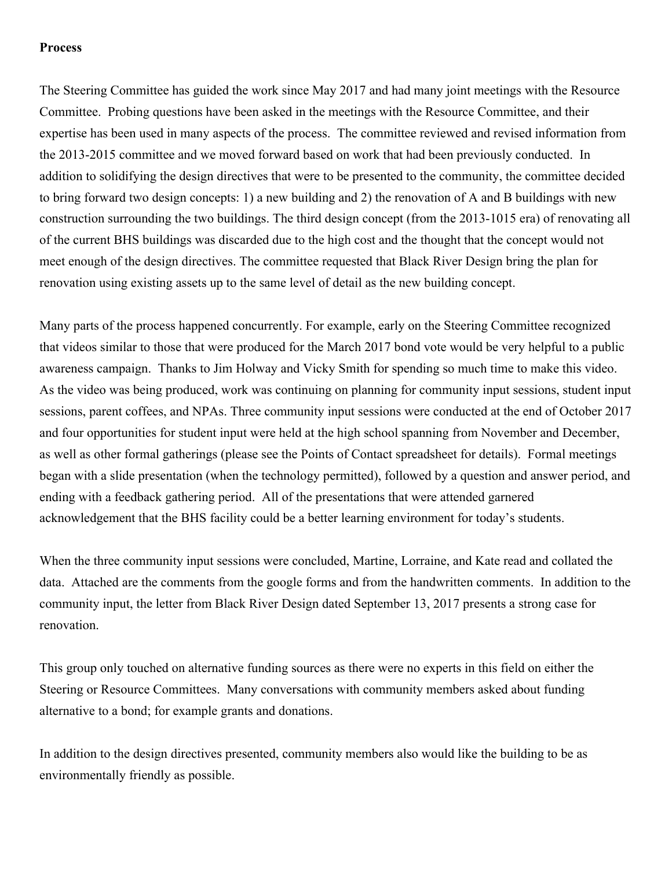#### **Process**

The Steering Committee has guided the work since May 2017 and had many joint meetings with the Resource Committee. Probing questions have been asked in the meetings with the Resource Committee, and their expertise has been used in many aspects of the process. The committee reviewed and revised information from the 2013-2015 committee and we moved forward based on work that had been previously conducted. In addition to solidifying the design directives that were to be presented to the community, the committee decided to bring forward two design concepts: 1) a new building and 2) the renovation of A and B buildings with new construction surrounding the two buildings. The third design concept (from the 2013-1015 era) of renovating all of the current BHS buildings was discarded due to the high cost and the thought that the concept would not meet enough of the design directives. The committee requested that Black River Design bring the plan for renovation using existing assets up to the same level of detail as the new building concept.

Many parts of the process happened concurrently. For example, early on the Steering Committee recognized that videos similar to those that were produced for the March 2017 bond vote would be very helpful to a public awareness campaign. Thanks to Jim Holway and Vicky Smith for spending so much time to make this video. As the video was being produced, work was continuing on planning for community input sessions, student input sessions, parent coffees, and NPAs. Three community input sessions were conducted at the end of October 2017 and four opportunities for student input were held at the high school spanning from November and December, as well as other formal gatherings (please see the Points of Contact spreadsheet for details). Formal meetings began with a slide presentation (when the technology permitted), followed by a question and answer period, and ending with a feedback gathering period. All of the presentations that were attended garnered acknowledgement that the BHS facility could be a better learning environment for today's students.

When the three community input sessions were concluded, Martine, Lorraine, and Kate read and collated the data. Attached are the comments from the google forms and from the handwritten comments. In addition to the community input, the letter from Black River Design dated September 13, 2017 presents a strong case for renovation.

This group only touched on alternative funding sources as there were no experts in this field on either the Steering or Resource Committees. Many conversations with community members asked about funding alternative to a bond; for example grants and donations.

In addition to the design directives presented, community members also would like the building to be as environmentally friendly as possible.